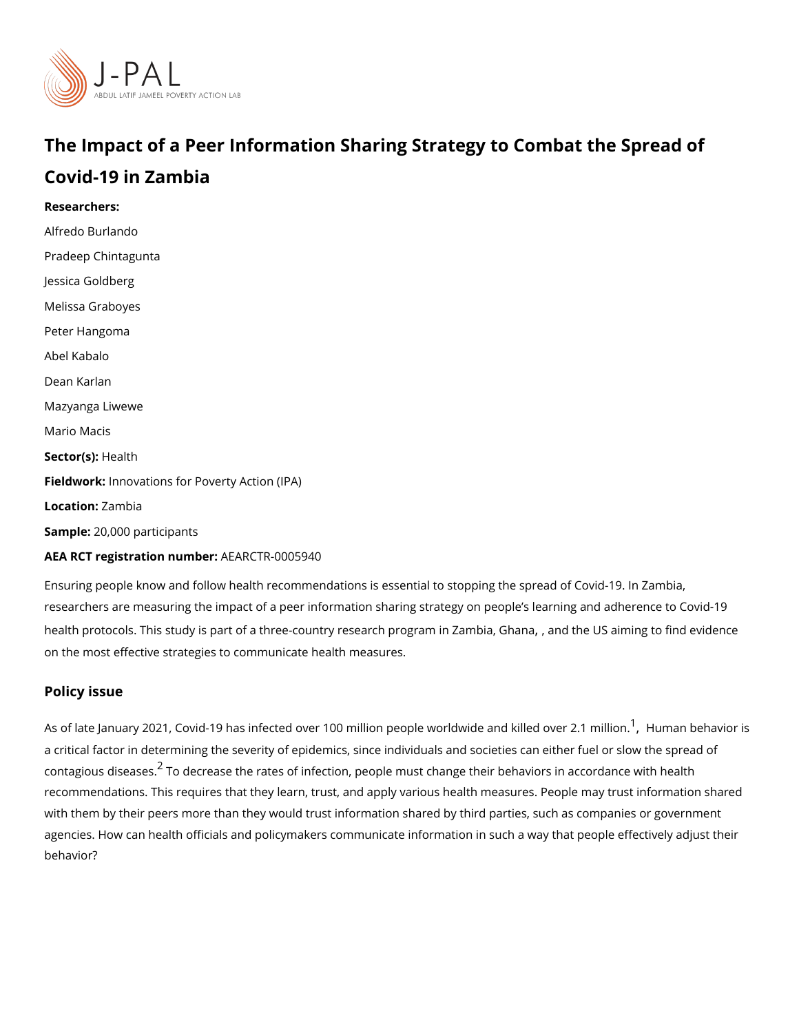# The Impact of a Peer Information Sharing Strategy to Comba Covid-19 in Zambia

Researchers: Alfredo Burlando Pradeep Chintagunta [Jessica Go](https://www.povertyactionlab.org/person/goldberg)ldberg Melissa Graboyes Peter Hangoma Abel Kabalo [Dean Ka](https://www.povertyactionlab.org/person/karlan)rlan Mazyanga Liwewe Mario Macis Sector(**s**)  $\ast$  alth Fieldworkhovations for Poverty Action (IPA) Locatio**Zambia** Sample: 0,000 participants AEA RCT registration ArEuAnRbGeTR-0005940

Ensuring people know and follow health recommendations is essential to stopping the spre researchers are measuring the impact of a peer information sharing strategy on people s healt[h pro](https://www.povertyactionlab.org/evaluation/impact-quiz-style-information-campaign-covid-19-prevention-united-states)tocols. This study is part of a three-country Geban[,](https://www.povertyactionlab.org/evaluation/impact-quiz-style-information-campaign-covid-19-prevention-ghana) ara htchperough Stiamminign tZbannibida, evidenc on the most effective strategies to communicate health measures.

## Policy issue

As of late January 202[1](#page-2-0)[,](#page-2-0) Covid-19 has infected over 100 million people, whamhdawnid e haand okrilik a critical factor in determining the severity of epidemics, since individuals and societies contagious di $\widetilde{s}$  eTacs edse.crease the rates of infection, people must change their behaviors in a recommendations. This requires that they learn, trust, and apply various health measures with them by their peers more than they would trust information shared by third parties, s agencies. How can health officials and policymakers communicate information in such a w behavior?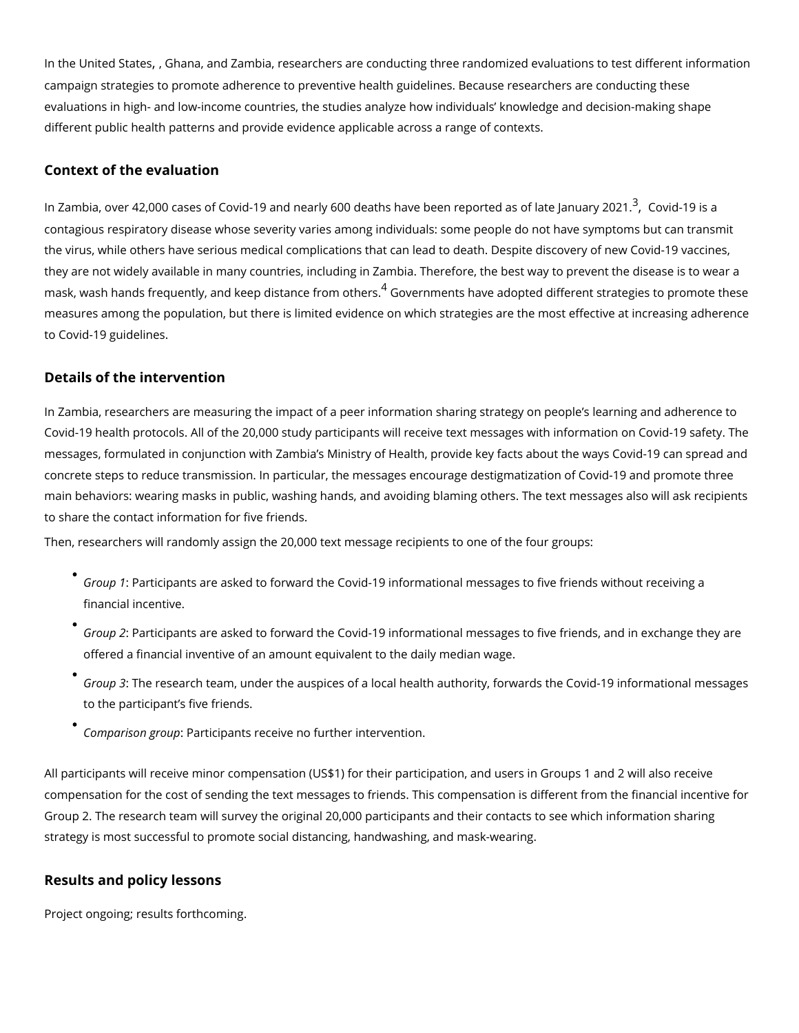Inthe United Stahes [,](https://www.povertyactionlab.org/evaluation/impact-quiz-style-information-campaign-covid-19-prevention-united-states) and Zambia, researchers are conducting three randomized evaluations campaign strategies to promote adherence to preventive health guidelines. Because resea evaluations in high- and low-income countries, the studies analyze how individuals knowl different public health patterns and provide evidence applicable across a range of contex

### Context of the evaluation

In Zambia[,](#page-2-0) over 42,000 cases of Covid-19 and nearly 600 deaths have  $^3$  $^3$ pe Ceonvid pto 9 tiesdæas of contagious respiratory disease whose severity varies among individuals: some people do the virus, while others have serious medical complications that can lead to death. Despite they are not widely available in many countries, including in Zambia. Therefore, the best <code>mask,</code> wash hands frequently, and keep  $\vec{d}$ isStoavnecren mireomniso hane resadopted different strategies t measures among the population, but there is limited evidence on which strategies are the to Covid-19 guidelines.

#### Details of the intervention

In Zambia, researchers are measuring the impact of a peer information sharing strategy o Covid-19 health protocols. All of the 20,000 study participants will receive text messages messages, formulated in conjunction with Zambia s Ministry of Health, provide key facts a concrete steps to reduce transmission. In particular, the messages encourage destigmatiz main behaviors: wearing masks in public, washing hands, and avoiding blaming others. Th to share the contact information for five friends.

Then, researchers will randomly assign the 20,000 text message recipients to one of the f

- $\check{\phantom{\phi}}$  Group Participants are asked to forward the Covid-19 informational messages to five financial incentive.
- Group Participants are asked to forward the Covid-19 informational messages to five offered a financial inventive of an amount equivalent to the daily median wage.
- Group 3he research team, under the auspices of a local health authority, forwards th to the participant s five friends.
- Comparison:gPaupicipants receive no further intervention.

All participants will receive minor compensation (US\$1) for their participation, and users compensation for the cost of sending the text messages to friends. This compensation is Group 2. The research team will survey the original 20,000 participants and their contacts strategy is most successful to promote social distancing, handwashing, and mask-wearing.

### Results and policy lessons

Project ongoing; results forthcoming.